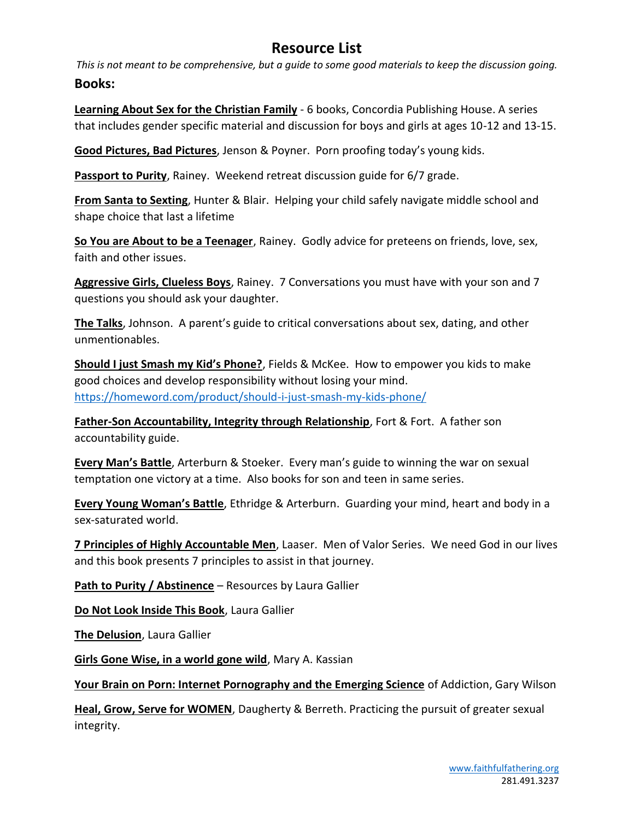## **Resource List**

*This is not meant to be comprehensive, but a guide to some good materials to keep the discussion going.* **Books:**

**Learning About Sex for the Christian Family** - 6 books, Concordia Publishing House. A series that includes gender specific material and discussion for boys and girls at ages 10-12 and 13-15.

**Good Pictures, Bad Pictures**, Jenson & Poyner. Porn proofing today's young kids.

**Passport to Purity**, Rainey. Weekend retreat discussion guide for 6/7 grade.

**From Santa to Sexting**, Hunter & Blair. Helping your child safely navigate middle school and shape choice that last a lifetime

**So You are About to be a Teenager**, Rainey. Godly advice for preteens on friends, love, sex, faith and other issues.

**Aggressive Girls, Clueless Boys**, Rainey. 7 Conversations you must have with your son and 7 questions you should ask your daughter.

**The Talks**, Johnson. A parent's guide to critical conversations about sex, dating, and other unmentionables.

**Should I just Smash my Kid's Phone?**, Fields & McKee. How to empower you kids to make good choices and develop responsibility without losing your mind. <https://homeword.com/product/should-i-just-smash-my-kids-phone/>

**Father-Son Accountability, Integrity through Relationship**, Fort & Fort. A father son accountability guide.

**Every Man's Battle**, Arterburn & Stoeker. Every man's guide to winning the war on sexual temptation one victory at a time. Also books for son and teen in same series.

**Every Young Woman's Battle**, Ethridge & Arterburn. Guarding your mind, heart and body in a sex-saturated world.

**7 Principles of Highly Accountable Men**, Laaser. Men of Valor Series. We need God in our lives and this book presents 7 principles to assist in that journey.

**Path to Purity / Abstinence** – Resources by Laura Gallier

**Do Not Look Inside This Book**, Laura Gallier

**The Delusion**, Laura Gallier

**Girls Gone Wise, in a world gone wild**, Mary A. Kassian

**Your Brain on Porn: Internet Pornography and the Emerging Science** of Addiction, Gary Wilson

**Heal, Grow, Serve for WOMEN**, Daugherty & Berreth. Practicing the pursuit of greater sexual integrity.